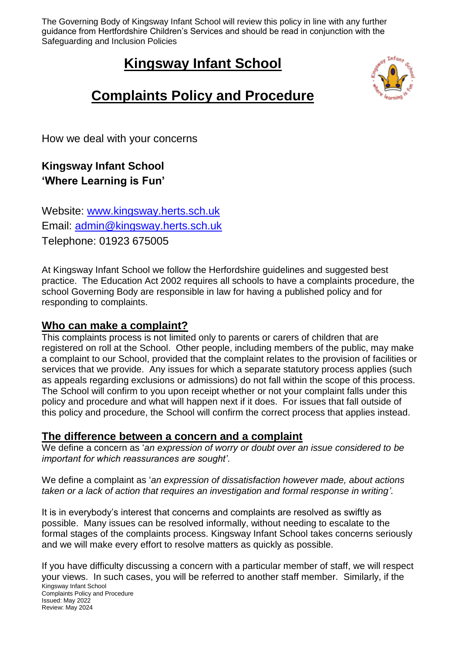The Governing Body of Kingsway Infant School will review this policy in line with any further guidance from Hertfordshire Children's Services and should be read in conjunction with the Safeguarding and Inclusion Policies

# **Kingsway Infant School**



# **Complaints Policy and Procedure**

How we deal with your concerns

# **Kingsway Infant School 'Where Learning is Fun'**

Website: [www.kingsway.herts.sch.uk](http://www.kingsway.herts.sch.uk/) Email: [admin@kingsway.herts.sch.uk](mailto:admin@kingsway.herts.sch.uk) Telephone: 01923 675005

At Kingsway Infant School we follow the Herfordshire guidelines and suggested best practice. The Education Act 2002 requires all schools to have a complaints procedure, the school Governing Body are responsible in law for having a published policy and for responding to complaints.

#### **Who can make a complaint?**

This complaints process is not limited only to parents or carers of children that are registered on roll at the School. Other people, including members of the public, may make a complaint to our School, provided that the complaint relates to the provision of facilities or services that we provide. Any issues for which a separate statutory process applies (such as appeals regarding exclusions or admissions) do not fall within the scope of this process. The School will confirm to you upon receipt whether or not your complaint falls under this policy and procedure and what will happen next if it does. For issues that fall outside of this policy and procedure, the School will confirm the correct process that applies instead.

#### **The difference between a concern and a complaint**

We define a concern as '*an expression of worry or doubt over an issue considered to be important for which reassurances are sought'*.

We define a complaint as '*an expression of dissatisfaction however made, about actions taken or a lack of action that requires an investigation and formal response in writing'*.

It is in everybody's interest that concerns and complaints are resolved as swiftly as possible. Many issues can be resolved informally, without needing to escalate to the formal stages of the complaints process. Kingsway Infant School takes concerns seriously and we will make every effort to resolve matters as quickly as possible.

Kingsway Infant School Complaints Policy and Procedure Issued: May 2022 Review: May 2024 If you have difficulty discussing a concern with a particular member of staff, we will respect your views. In such cases, you will be referred to another staff member. Similarly, if the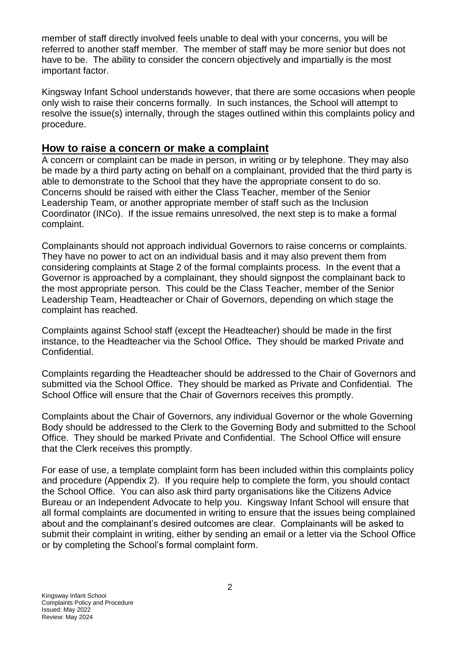member of staff directly involved feels unable to deal with your concerns, you will be referred to another staff member. The member of staff may be more senior but does not have to be. The ability to consider the concern objectively and impartially is the most important factor.

Kingsway Infant School understands however, that there are some occasions when people only wish to raise their concerns formally. In such instances, the School will attempt to resolve the issue(s) internally, through the stages outlined within this complaints policy and procedure.

#### **How to raise a concern or make a complaint**

A concern or complaint can be made in person, in writing or by telephone. They may also be made by a third party acting on behalf on a complainant, provided that the third party is able to demonstrate to the School that they have the appropriate consent to do so. Concerns should be raised with either the Class Teacher, member of the Senior Leadership Team, or another appropriate member of staff such as the Inclusion Coordinator (INCo). If the issue remains unresolved, the next step is to make a formal complaint.

Complainants should not approach individual Governors to raise concerns or complaints. They have no power to act on an individual basis and it may also prevent them from considering complaints at Stage 2 of the formal complaints process. In the event that a Governor is approached by a complainant, they should signpost the complainant back to the most appropriate person. This could be the Class Teacher, member of the Senior Leadership Team, Headteacher or Chair of Governors, depending on which stage the complaint has reached.

Complaints against School staff (except the Headteacher) should be made in the first instance, to the Headteacher via the School Office*.* They should be marked Private and Confidential.

Complaints regarding the Headteacher should be addressed to the Chair of Governors and submitted via the School Office. They should be marked as Private and Confidential. The School Office will ensure that the Chair of Governors receives this promptly.

Complaints about the Chair of Governors, any individual Governor or the whole Governing Body should be addressed to the Clerk to the Governing Body and submitted to the School Office. They should be marked Private and Confidential. The School Office will ensure that the Clerk receives this promptly.

For ease of use, a template complaint form has been included within this complaints policy and procedure (Appendix 2). If you require help to complete the form, you should contact the School Office. You can also ask third party organisations like the Citizens Advice Bureau or an Independent Advocate to help you. Kingsway Infant School will ensure that all formal complaints are documented in writing to ensure that the issues being complained about and the complainant's desired outcomes are clear. Complainants will be asked to submit their complaint in writing, either by sending an email or a letter via the School Office or by completing the School's formal complaint form.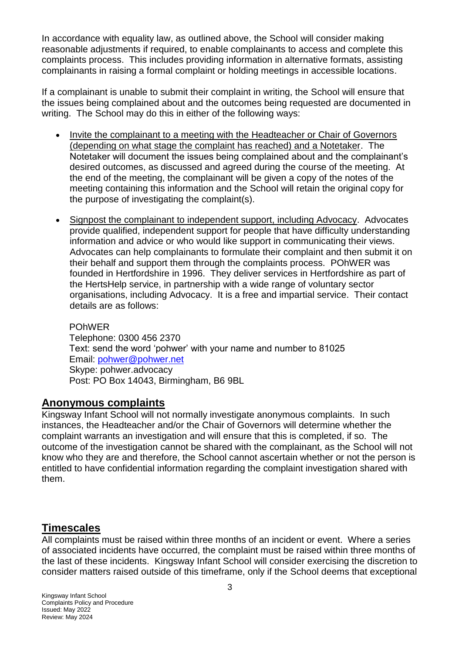In accordance with equality law, as outlined above, the School will consider making reasonable adjustments if required, to enable complainants to access and complete this complaints process. This includes providing information in alternative formats, assisting complainants in raising a formal complaint or holding meetings in accessible locations.

If a complainant is unable to submit their complaint in writing, the School will ensure that the issues being complained about and the outcomes being requested are documented in writing. The School may do this in either of the following ways:

- Invite the complainant to a meeting with the Headteacher or Chair of Governors (depending on what stage the complaint has reached) and a Notetaker. The Notetaker will document the issues being complained about and the complainant's desired outcomes, as discussed and agreed during the course of the meeting. At the end of the meeting, the complainant will be given a copy of the notes of the meeting containing this information and the School will retain the original copy for the purpose of investigating the complaint(s).
- Signpost the complainant to independent support, including Advocacy. Advocates provide qualified, independent support for people that have difficulty understanding information and advice or who would like support in communicating their views. Advocates can help complainants to formulate their complaint and then submit it on their behalf and support them through the complaints process. POhWER was founded in Hertfordshire in 1996. They deliver services in Hertfordshire as part of the HertsHelp service, in partnership with a wide range of voluntary sector organisations, including Advocacy. It is a free and impartial service. Their contact details are as follows:

POhWER Telephone: 0300 456 2370 Text: send the word 'pohwer' with your name and number to 81025 Email: [pohwer@pohwer.net](mailto:pohwer@pohwer.net) Skype: pohwer.advocacy Post: PO Box 14043, Birmingham, B6 9BL

#### **Anonymous complaints**

Kingsway Infant School will not normally investigate anonymous complaints. In such instances, the Headteacher and/or the Chair of Governors will determine whether the complaint warrants an investigation and will ensure that this is completed, if so. The outcome of the investigation cannot be shared with the complainant, as the School will not know who they are and therefore, the School cannot ascertain whether or not the person is entitled to have confidential information regarding the complaint investigation shared with them.

#### **Timescales**

All complaints must be raised within three months of an incident or event. Where a series of associated incidents have occurred, the complaint must be raised within three months of the last of these incidents. Kingsway Infant School will consider exercising the discretion to consider matters raised outside of this timeframe, only if the School deems that exceptional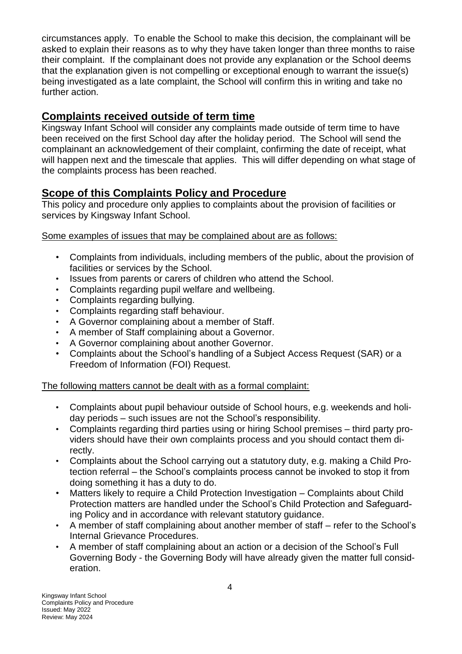circumstances apply. To enable the School to make this decision, the complainant will be asked to explain their reasons as to why they have taken longer than three months to raise their complaint. If the complainant does not provide any explanation or the School deems that the explanation given is not compelling or exceptional enough to warrant the issue(s) being investigated as a late complaint, the School will confirm this in writing and take no further action.

## **Complaints received outside of term time**

Kingsway Infant School will consider any complaints made outside of term time to have been received on the first School day after the holiday period. The School will send the complainant an acknowledgement of their complaint, confirming the date of receipt, what will happen next and the timescale that applies. This will differ depending on what stage of the complaints process has been reached.

## **Scope of this Complaints Policy and Procedure**

This policy and procedure only applies to complaints about the provision of facilities or services by Kingsway Infant School.

Some examples of issues that may be complained about are as follows:

- Complaints from individuals, including members of the public, about the provision of facilities or services by the School.
- Issues from parents or carers of children who attend the School.
- Complaints regarding pupil welfare and wellbeing.
- Complaints regarding bullying.
- Complaints regarding staff behaviour.
- A Governor complaining about a member of Staff.
- A member of Staff complaining about a Governor.
- A Governor complaining about another Governor.
- Complaints about the School's handling of a Subject Access Request (SAR) or a Freedom of Information (FOI) Request.

#### The following matters cannot be dealt with as a formal complaint:

- Complaints about pupil behaviour outside of School hours, e.g. weekends and holiday periods – such issues are not the School's responsibility.
- Complaints regarding third parties using or hiring School premises third party providers should have their own complaints process and you should contact them directly.
- Complaints about the School carrying out a statutory duty, e.g. making a Child Protection referral – the School's complaints process cannot be invoked to stop it from doing something it has a duty to do.
- Matters likely to require a Child Protection Investigation Complaints about Child Protection matters are handled under the School's Child Protection and Safeguarding Policy and in accordance with relevant statutory guidance.
- A member of staff complaining about another member of staff refer to the School's Internal Grievance Procedures.
- A member of staff complaining about an action or a decision of the School's Full Governing Body - the Governing Body will have already given the matter full consideration.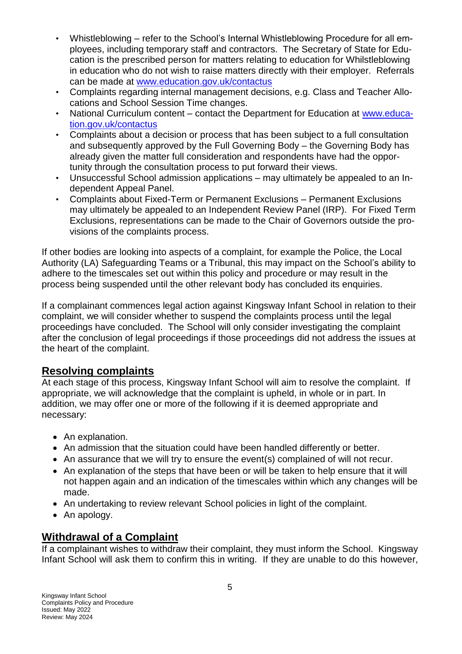- Whistleblowing refer to the School's Internal Whistleblowing Procedure for all employees, including temporary staff and contractors. The Secretary of State for Education is the prescribed person for matters relating to education for Whilstleblowing in education who do not wish to raise matters directly with their employer. Referrals can be made at [www.education.gov.uk/contactus](http://www.education.gov.uk/contactus)
- Complaints regarding internal management decisions, e.g. Class and Teacher Allocations and School Session Time changes.
- National Curriculum content contact the Department for Education at [www.educa](http://www.education.gov.uk/contactus)[tion.gov.uk/contactus](http://www.education.gov.uk/contactus)
- Complaints about a decision or process that has been subject to a full consultation and subsequently approved by the Full Governing Body – the Governing Body has already given the matter full consideration and respondents have had the opportunity through the consultation process to put forward their views.
- Unsuccessful School admission applications may ultimately be appealed to an Independent Appeal Panel.
- Complaints about Fixed-Term or Permanent Exclusions Permanent Exclusions may ultimately be appealed to an Independent Review Panel (IRP). For Fixed Term Exclusions, representations can be made to the Chair of Governors outside the provisions of the complaints process.

If other bodies are looking into aspects of a complaint, for example the Police, the Local Authority (LA) Safeguarding Teams or a Tribunal, this may impact on the School's ability to adhere to the timescales set out within this policy and procedure or may result in the process being suspended until the other relevant body has concluded its enquiries.

If a complainant commences legal action against Kingsway Infant School in relation to their complaint, we will consider whether to suspend the complaints process until the legal proceedings have concluded. The School will only consider investigating the complaint after the conclusion of legal proceedings if those proceedings did not address the issues at the heart of the complaint.

#### **Resolving complaints**

At each stage of this process, Kingsway Infant School will aim to resolve the complaint. If appropriate, we will acknowledge that the complaint is upheld, in whole or in part. In addition, we may offer one or more of the following if it is deemed appropriate and necessary:

- An explanation.
- An admission that the situation could have been handled differently or better.
- An assurance that we will try to ensure the event(s) complained of will not recur.
- An explanation of the steps that have been or will be taken to help ensure that it will not happen again and an indication of the timescales within which any changes will be made.
- An undertaking to review relevant School policies in light of the complaint.
- An apology.

## **Withdrawal of a Complaint**

If a complainant wishes to withdraw their complaint, they must inform the School. Kingsway Infant School will ask them to confirm this in writing. If they are unable to do this however,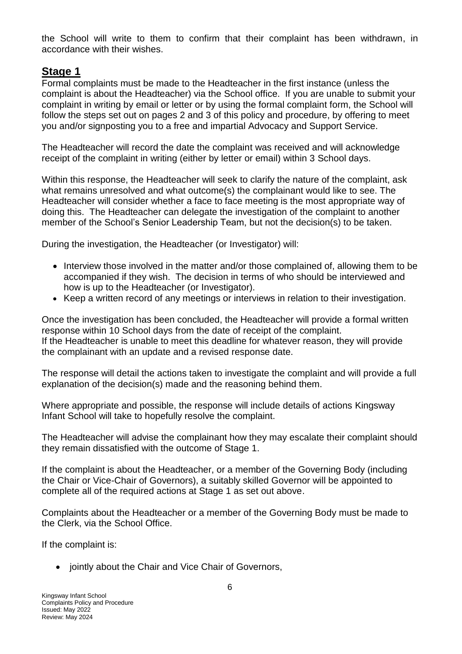the School will write to them to confirm that their complaint has been withdrawn, in accordance with their wishes.

#### **Stage 1**

Formal complaints must be made to the Headteacher in the first instance (unless the complaint is about the Headteacher) via the School office. If you are unable to submit your complaint in writing by email or letter or by using the formal complaint form, the School will follow the steps set out on pages 2 and 3 of this policy and procedure, by offering to meet you and/or signposting you to a free and impartial Advocacy and Support Service.

The Headteacher will record the date the complaint was received and will acknowledge receipt of the complaint in writing (either by letter or email) within 3 School days.

Within this response, the Headteacher will seek to clarify the nature of the complaint, ask what remains unresolved and what outcome(s) the complainant would like to see. The Headteacher will consider whether a face to face meeting is the most appropriate way of doing this. The Headteacher can delegate the investigation of the complaint to another member of the School's Senior Leadership Team, but not the decision(s) to be taken.

During the investigation, the Headteacher (or Investigator) will:

- Interview those involved in the matter and/or those complained of, allowing them to be accompanied if they wish. The decision in terms of who should be interviewed and how is up to the Headteacher (or Investigator).
- Keep a written record of any meetings or interviews in relation to their investigation.

Once the investigation has been concluded, the Headteacher will provide a formal written response within 10 School days from the date of receipt of the complaint. If the Headteacher is unable to meet this deadline for whatever reason, they will provide the complainant with an update and a revised response date.

The response will detail the actions taken to investigate the complaint and will provide a full explanation of the decision(s) made and the reasoning behind them.

Where appropriate and possible, the response will include details of actions Kingsway Infant School will take to hopefully resolve the complaint.

The Headteacher will advise the complainant how they may escalate their complaint should they remain dissatisfied with the outcome of Stage 1.

If the complaint is about the Headteacher, or a member of the Governing Body (including the Chair or Vice-Chair of Governors), a suitably skilled Governor will be appointed to complete all of the required actions at Stage 1 as set out above.

Complaints about the Headteacher or a member of the Governing Body must be made to the Clerk, via the School Office.

If the complaint is:

• jointly about the Chair and Vice Chair of Governors,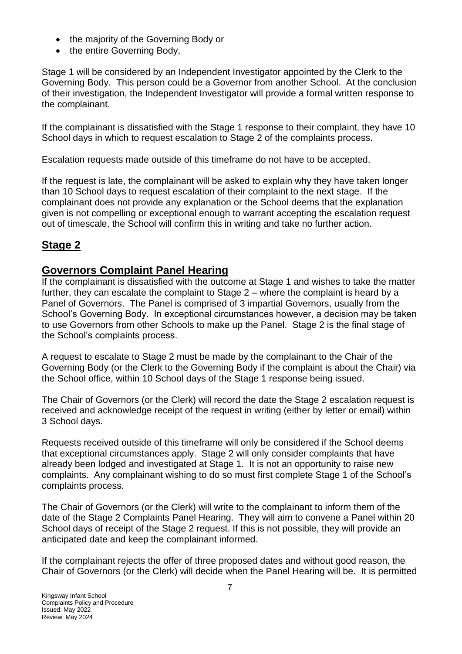- the majority of the Governing Body or
- the entire Governing Body,

Stage 1 will be considered by an Independent Investigator appointed by the Clerk to the Governing Body. This person could be a Governor from another School. At the conclusion of their investigation, the Independent Investigator will provide a formal written response to the complainant.

If the complainant is dissatisfied with the Stage 1 response to their complaint, they have 10 School days in which to request escalation to Stage 2 of the complaints process.

Escalation requests made outside of this timeframe do not have to be accepted.

If the request is late, the complainant will be asked to explain why they have taken longer than 10 School days to request escalation of their complaint to the next stage. If the complainant does not provide any explanation or the School deems that the explanation given is not compelling or exceptional enough to warrant accepting the escalation request out of timescale, the School will confirm this in writing and take no further action.

## **Stage 2**

#### **Governors Complaint Panel Hearing**

If the complainant is dissatisfied with the outcome at Stage 1 and wishes to take the matter further, they can escalate the complaint to Stage 2 – where the complaint is heard by a Panel of Governors. The Panel is comprised of 3 impartial Governors, usually from the School's Governing Body. In exceptional circumstances however, a decision may be taken to use Governors from other Schools to make up the Panel. Stage 2 is the final stage of the School's complaints process.

A request to escalate to Stage 2 must be made by the complainant to the Chair of the Governing Body (or the Clerk to the Governing Body if the complaint is about the Chair) via the School office, within 10 School days of the Stage 1 response being issued.

The Chair of Governors (or the Clerk) will record the date the Stage 2 escalation request is received and acknowledge receipt of the request in writing (either by letter or email) within 3 School days.

Requests received outside of this timeframe will only be considered if the School deems that exceptional circumstances apply. Stage 2 will only consider complaints that have already been lodged and investigated at Stage 1. It is not an opportunity to raise new complaints. Any complainant wishing to do so must first complete Stage 1 of the School's complaints process.

The Chair of Governors (or the Clerk) will write to the complainant to inform them of the date of the Stage 2 Complaints Panel Hearing. They will aim to convene a Panel within 20 School days of receipt of the Stage 2 request. If this is not possible, they will provide an anticipated date and keep the complainant informed.

If the complainant rejects the offer of three proposed dates and without good reason, the Chair of Governors (or the Clerk) will decide when the Panel Hearing will be. It is permitted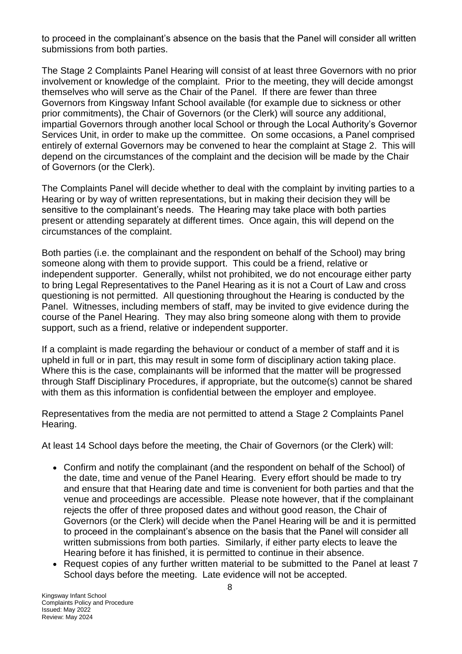to proceed in the complainant's absence on the basis that the Panel will consider all written submissions from both parties.

The Stage 2 Complaints Panel Hearing will consist of at least three Governors with no prior involvement or knowledge of the complaint. Prior to the meeting, they will decide amongst themselves who will serve as the Chair of the Panel. If there are fewer than three Governors from Kingsway Infant School available (for example due to sickness or other prior commitments), the Chair of Governors (or the Clerk) will source any additional, impartial Governors through another local School or through the Local Authority's Governor Services Unit, in order to make up the committee. On some occasions, a Panel comprised entirely of external Governors may be convened to hear the complaint at Stage 2. This will depend on the circumstances of the complaint and the decision will be made by the Chair of Governors (or the Clerk).

The Complaints Panel will decide whether to deal with the complaint by inviting parties to a Hearing or by way of written representations, but in making their decision they will be sensitive to the complainant's needs. The Hearing may take place with both parties present or attending separately at different times. Once again, this will depend on the circumstances of the complaint.

Both parties (i.e. the complainant and the respondent on behalf of the School) may bring someone along with them to provide support. This could be a friend, relative or independent supporter. Generally, whilst not prohibited, we do not encourage either party to bring Legal Representatives to the Panel Hearing as it is not a Court of Law and cross questioning is not permitted. All questioning throughout the Hearing is conducted by the Panel. Witnesses, including members of staff, may be invited to give evidence during the course of the Panel Hearing. They may also bring someone along with them to provide support, such as a friend, relative or independent supporter.

If a complaint is made regarding the behaviour or conduct of a member of staff and it is upheld in full or in part, this may result in some form of disciplinary action taking place. Where this is the case, complainants will be informed that the matter will be progressed through Staff Disciplinary Procedures, if appropriate, but the outcome(s) cannot be shared with them as this information is confidential between the employer and employee.

Representatives from the media are not permitted to attend a Stage 2 Complaints Panel Hearing.

At least 14 School days before the meeting, the Chair of Governors (or the Clerk) will:

- Confirm and notify the complainant (and the respondent on behalf of the School) of the date, time and venue of the Panel Hearing. Every effort should be made to try and ensure that that Hearing date and time is convenient for both parties and that the venue and proceedings are accessible. Please note however, that if the complainant rejects the offer of three proposed dates and without good reason, the Chair of Governors (or the Clerk) will decide when the Panel Hearing will be and it is permitted to proceed in the complainant's absence on the basis that the Panel will consider all written submissions from both parties. Similarly, if either party elects to leave the Hearing before it has finished, it is permitted to continue in their absence.
- Request copies of any further written material to be submitted to the Panel at least 7 School days before the meeting. Late evidence will not be accepted.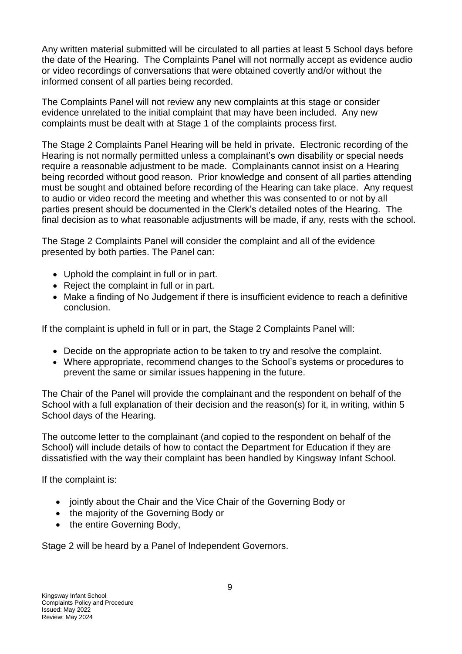Any written material submitted will be circulated to all parties at least 5 School days before the date of the Hearing. The Complaints Panel will not normally accept as evidence audio or video recordings of conversations that were obtained covertly and/or without the informed consent of all parties being recorded.

The Complaints Panel will not review any new complaints at this stage or consider evidence unrelated to the initial complaint that may have been included. Any new complaints must be dealt with at Stage 1 of the complaints process first.

The Stage 2 Complaints Panel Hearing will be held in private. Electronic recording of the Hearing is not normally permitted unless a complainant's own disability or special needs require a reasonable adjustment to be made. Complainants cannot insist on a Hearing being recorded without good reason. Prior knowledge and consent of all parties attending must be sought and obtained before recording of the Hearing can take place. Any request to audio or video record the meeting and whether this was consented to or not by all parties present should be documented in the Clerk's detailed notes of the Hearing. The final decision as to what reasonable adjustments will be made, if any, rests with the school.

The Stage 2 Complaints Panel will consider the complaint and all of the evidence presented by both parties. The Panel can:

- Uphold the complaint in full or in part.
- Reject the complaint in full or in part.
- Make a finding of No Judgement if there is insufficient evidence to reach a definitive conclusion.

If the complaint is upheld in full or in part, the Stage 2 Complaints Panel will:

- Decide on the appropriate action to be taken to try and resolve the complaint.
- Where appropriate, recommend changes to the School's systems or procedures to prevent the same or similar issues happening in the future.

The Chair of the Panel will provide the complainant and the respondent on behalf of the School with a full explanation of their decision and the reason(s) for it, in writing, within 5 School days of the Hearing.

The outcome letter to the complainant (and copied to the respondent on behalf of the School) will include details of how to contact the Department for Education if they are dissatisfied with the way their complaint has been handled by Kingsway Infant School.

If the complaint is:

- jointly about the Chair and the Vice Chair of the Governing Body or
- the majority of the Governing Body or
- the entire Governing Body,

Stage 2 will be heard by a Panel of Independent Governors.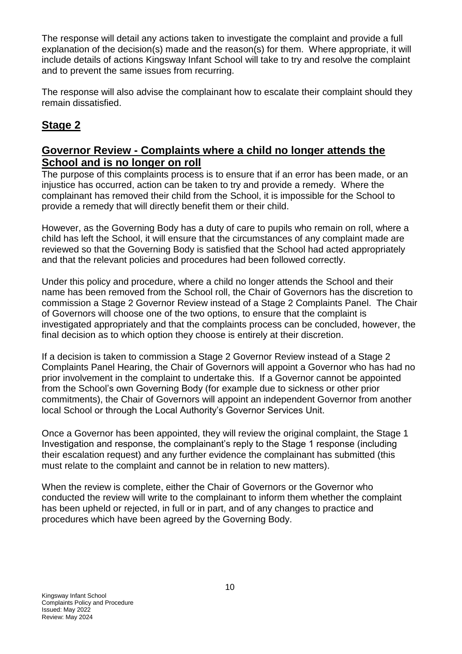The response will detail any actions taken to investigate the complaint and provide a full explanation of the decision(s) made and the reason(s) for them. Where appropriate, it will include details of actions Kingsway Infant School will take to try and resolve the complaint and to prevent the same issues from recurring.

The response will also advise the complainant how to escalate their complaint should they remain dissatisfied.

# **Stage 2**

#### **Governor Review - Complaints where a child no longer attends the School and is no longer on roll**

The purpose of this complaints process is to ensure that if an error has been made, or an injustice has occurred, action can be taken to try and provide a remedy. Where the complainant has removed their child from the School, it is impossible for the School to provide a remedy that will directly benefit them or their child.

However, as the Governing Body has a duty of care to pupils who remain on roll, where a child has left the School, it will ensure that the circumstances of any complaint made are reviewed so that the Governing Body is satisfied that the School had acted appropriately and that the relevant policies and procedures had been followed correctly.

Under this policy and procedure, where a child no longer attends the School and their name has been removed from the School roll, the Chair of Governors has the discretion to commission a Stage 2 Governor Review instead of a Stage 2 Complaints Panel. The Chair of Governors will choose one of the two options, to ensure that the complaint is investigated appropriately and that the complaints process can be concluded, however, the final decision as to which option they choose is entirely at their discretion.

If a decision is taken to commission a Stage 2 Governor Review instead of a Stage 2 Complaints Panel Hearing, the Chair of Governors will appoint a Governor who has had no prior involvement in the complaint to undertake this. If a Governor cannot be appointed from the School's own Governing Body (for example due to sickness or other prior commitments), the Chair of Governors will appoint an independent Governor from another local School or through the Local Authority's Governor Services Unit.

Once a Governor has been appointed, they will review the original complaint, the Stage 1 Investigation and response, the complainant's reply to the Stage 1 response (including their escalation request) and any further evidence the complainant has submitted (this must relate to the complaint and cannot be in relation to new matters).

When the review is complete, either the Chair of Governors or the Governor who conducted the review will write to the complainant to inform them whether the complaint has been upheld or rejected, in full or in part, and of any changes to practice and procedures which have been agreed by the Governing Body.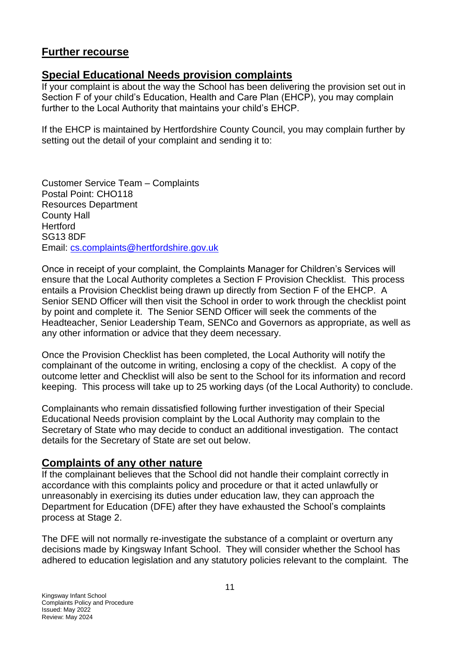## **Further recourse**

#### **Special Educational Needs provision complaints**

If your complaint is about the way the School has been delivering the provision set out in Section F of your child's Education, Health and Care Plan (EHCP), you may complain further to the Local Authority that maintains your child's EHCP.

If the EHCP is maintained by Hertfordshire County Council, you may complain further by setting out the detail of your complaint and sending it to:

Customer Service Team – Complaints Postal Point: CHO118 Resources Department County Hall Hertford SG13 8DF Email: [cs.complaints@hertfordshire.gov.uk](mailto:cs.complaints@hertfordshire.gov.uk)

Once in receipt of your complaint, the Complaints Manager for Children's Services will ensure that the Local Authority completes a Section F Provision Checklist. This process entails a Provision Checklist being drawn up directly from Section F of the EHCP. A Senior SEND Officer will then visit the School in order to work through the checklist point by point and complete it. The Senior SEND Officer will seek the comments of the Headteacher, Senior Leadership Team, SENCo and Governors as appropriate, as well as any other information or advice that they deem necessary.

Once the Provision Checklist has been completed, the Local Authority will notify the complainant of the outcome in writing, enclosing a copy of the checklist. A copy of the outcome letter and Checklist will also be sent to the School for its information and record keeping. This process will take up to 25 working days (of the Local Authority) to conclude.

Complainants who remain dissatisfied following further investigation of their Special Educational Needs provision complaint by the Local Authority may complain to the Secretary of State who may decide to conduct an additional investigation. The contact details for the Secretary of State are set out below.

#### **Complaints of any other nature**

If the complainant believes that the School did not handle their complaint correctly in accordance with this complaints policy and procedure or that it acted unlawfully or unreasonably in exercising its duties under education law, they can approach the Department for Education (DFE) after they have exhausted the School's complaints process at Stage 2.

The DFE will not normally re-investigate the substance of a complaint or overturn any decisions made by Kingsway Infant School. They will consider whether the School has adhered to education legislation and any statutory policies relevant to the complaint. The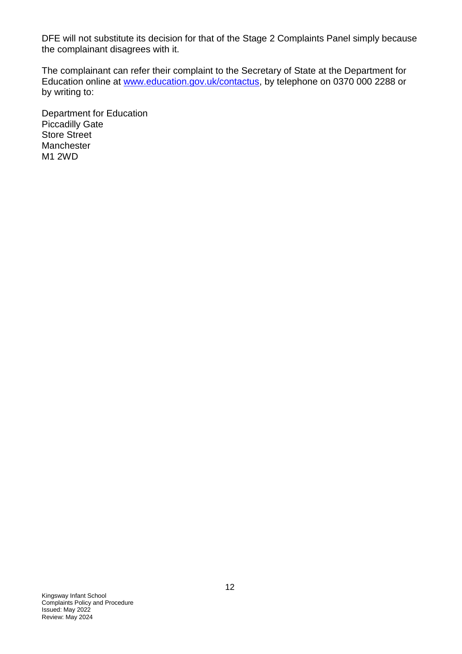DFE will not substitute its decision for that of the Stage 2 Complaints Panel simply because the complainant disagrees with it.

The complainant can refer their complaint to the Secretary of State at the Department for Education online at [www.education.gov.uk/contactus,](http://www.education.gov.uk/contactus) by telephone on 0370 000 2288 or by writing to:

Department for Education Piccadilly Gate Store Street **Manchester** M1 2WD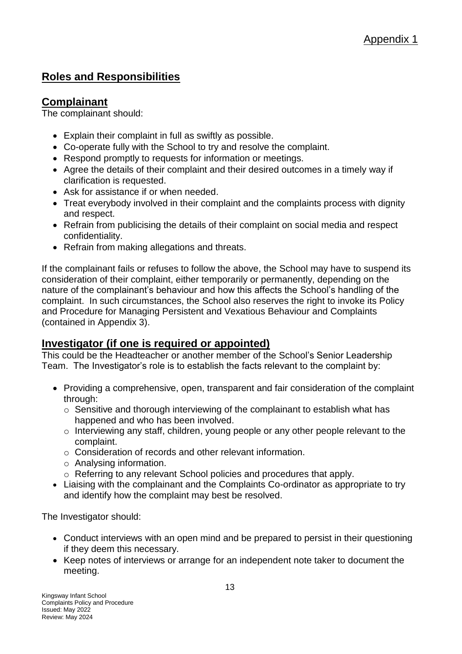# **Roles and Responsibilities**

## **Complainant**

The complainant should:

- Explain their complaint in full as swiftly as possible.
- Co-operate fully with the School to try and resolve the complaint.
- Respond promptly to requests for information or meetings.
- Agree the details of their complaint and their desired outcomes in a timely way if clarification is requested.
- Ask for assistance if or when needed.
- Treat everybody involved in their complaint and the complaints process with dignity and respect.
- Refrain from publicising the details of their complaint on social media and respect confidentiality.
- Refrain from making allegations and threats.

If the complainant fails or refuses to follow the above, the School may have to suspend its consideration of their complaint, either temporarily or permanently, depending on the nature of the complainant's behaviour and how this affects the School's handling of the complaint. In such circumstances, the School also reserves the right to invoke its Policy and Procedure for Managing Persistent and Vexatious Behaviour and Complaints (contained in Appendix 3).

#### **Investigator (if one is required or appointed)**

This could be the Headteacher or another member of the School's Senior Leadership Team. The Investigator's role is to establish the facts relevant to the complaint by:

- Providing a comprehensive, open, transparent and fair consideration of the complaint through:
	- o Sensitive and thorough interviewing of the complainant to establish what has happened and who has been involved.
	- o Interviewing any staff, children, young people or any other people relevant to the complaint.
	- o Consideration of records and other relevant information.
	- o Analysing information.
	- o Referring to any relevant School policies and procedures that apply.
- Liaising with the complainant and the Complaints Co-ordinator as appropriate to try and identify how the complaint may best be resolved.

The Investigator should:

- Conduct interviews with an open mind and be prepared to persist in their questioning if they deem this necessary.
- Keep notes of interviews or arrange for an independent note taker to document the meeting.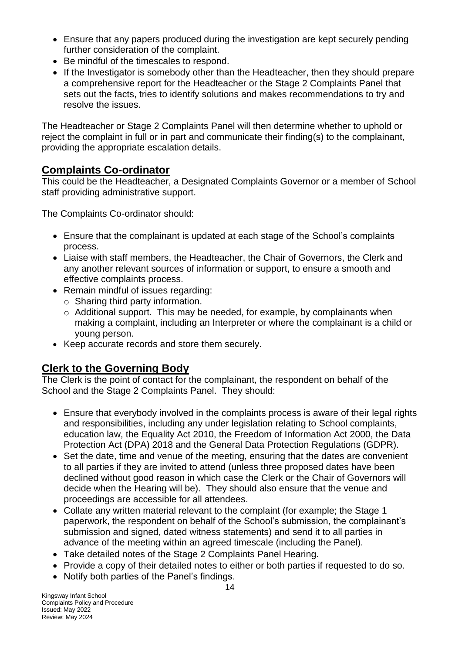- Ensure that any papers produced during the investigation are kept securely pending further consideration of the complaint.
- Be mindful of the timescales to respond.
- If the Investigator is somebody other than the Headteacher, then they should prepare a comprehensive report for the Headteacher or the Stage 2 Complaints Panel that sets out the facts, tries to identify solutions and makes recommendations to try and resolve the issues.

The Headteacher or Stage 2 Complaints Panel will then determine whether to uphold or reject the complaint in full or in part and communicate their finding(s) to the complainant, providing the appropriate escalation details.

## **Complaints Co-ordinator**

This could be the Headteacher, a Designated Complaints Governor or a member of School staff providing administrative support.

The Complaints Co-ordinator should:

- Ensure that the complainant is updated at each stage of the School's complaints process.
- Liaise with staff members, the Headteacher, the Chair of Governors, the Clerk and any another relevant sources of information or support, to ensure a smooth and effective complaints process.
- Remain mindful of issues regarding:
	- $\circ$  Sharing third party information.
	- o Additional support. This may be needed, for example, by complainants when making a complaint, including an Interpreter or where the complainant is a child or young person.
- Keep accurate records and store them securely.

## **Clerk to the Governing Body**

The Clerk is the point of contact for the complainant, the respondent on behalf of the School and the Stage 2 Complaints Panel. They should:

- Ensure that everybody involved in the complaints process is aware of their legal rights and responsibilities, including any under legislation relating to School complaints, education law, the Equality Act 2010, the Freedom of Information Act 2000, the Data Protection Act (DPA) 2018 and the General Data Protection Regulations (GDPR).
- Set the date, time and venue of the meeting, ensuring that the dates are convenient to all parties if they are invited to attend (unless three proposed dates have been declined without good reason in which case the Clerk or the Chair of Governors will decide when the Hearing will be). They should also ensure that the venue and proceedings are accessible for all attendees.
- Collate any written material relevant to the complaint (for example; the Stage 1 paperwork, the respondent on behalf of the School's submission, the complainant's submission and signed, dated witness statements) and send it to all parties in advance of the meeting within an agreed timescale (including the Panel).
- Take detailed notes of the Stage 2 Complaints Panel Hearing.
- Provide a copy of their detailed notes to either or both parties if requested to do so.
- Notify both parties of the Panel's findings.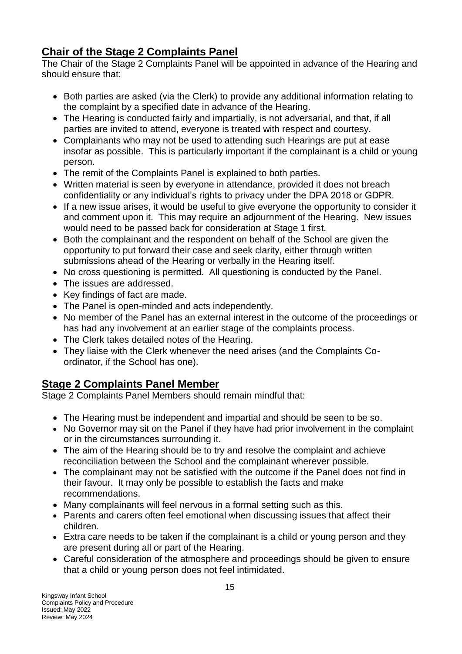# **Chair of the Stage 2 Complaints Panel**

The Chair of the Stage 2 Complaints Panel will be appointed in advance of the Hearing and should ensure that:

- Both parties are asked (via the Clerk) to provide any additional information relating to the complaint by a specified date in advance of the Hearing.
- The Hearing is conducted fairly and impartially, is not adversarial, and that, if all parties are invited to attend, everyone is treated with respect and courtesy.
- Complainants who may not be used to attending such Hearings are put at ease insofar as possible. This is particularly important if the complainant is a child or young person.
- The remit of the Complaints Panel is explained to both parties.
- Written material is seen by everyone in attendance, provided it does not breach confidentiality or any individual's rights to privacy under the DPA 2018 or GDPR.
- If a new issue arises, it would be useful to give everyone the opportunity to consider it and comment upon it. This may require an adjournment of the Hearing. New issues would need to be passed back for consideration at Stage 1 first.
- Both the complainant and the respondent on behalf of the School are given the opportunity to put forward their case and seek clarity, either through written submissions ahead of the Hearing or verbally in the Hearing itself.
- No cross questioning is permitted. All questioning is conducted by the Panel.
- The issues are addressed.
- Key findings of fact are made.
- The Panel is open-minded and acts independently.
- No member of the Panel has an external interest in the outcome of the proceedings or has had any involvement at an earlier stage of the complaints process.
- The Clerk takes detailed notes of the Hearing.
- They liaise with the Clerk whenever the need arises (and the Complaints Coordinator, if the School has one).

## **Stage 2 Complaints Panel Member**

Stage 2 Complaints Panel Members should remain mindful that:

- The Hearing must be independent and impartial and should be seen to be so.
- No Governor may sit on the Panel if they have had prior involvement in the complaint or in the circumstances surrounding it.
- The aim of the Hearing should be to try and resolve the complaint and achieve reconciliation between the School and the complainant wherever possible.
- The complainant may not be satisfied with the outcome if the Panel does not find in their favour. It may only be possible to establish the facts and make recommendations.
- Many complainants will feel nervous in a formal setting such as this.
- Parents and carers often feel emotional when discussing issues that affect their children.
- Extra care needs to be taken if the complainant is a child or young person and they are present during all or part of the Hearing.
- Careful consideration of the atmosphere and proceedings should be given to ensure that a child or young person does not feel intimidated.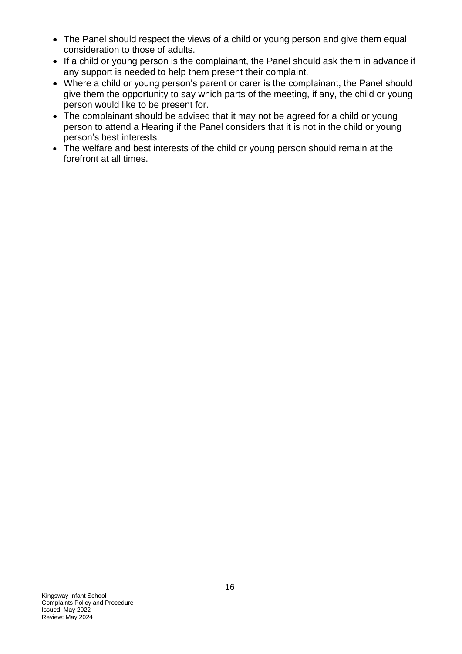- The Panel should respect the views of a child or young person and give them equal consideration to those of adults.
- If a child or young person is the complainant, the Panel should ask them in advance if any support is needed to help them present their complaint.
- Where a child or young person's parent or carer is the complainant, the Panel should give them the opportunity to say which parts of the meeting, if any, the child or young person would like to be present for.
- The complainant should be advised that it may not be agreed for a child or young person to attend a Hearing if the Panel considers that it is not in the child or young person's best interests.
- The welfare and best interests of the child or young person should remain at the forefront at all times.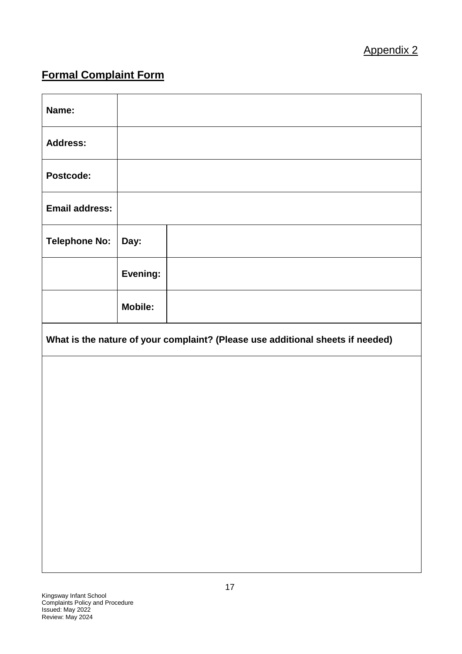# **Formal Complaint Form**

| Name:                 |                                                                                |  |  |  |  |
|-----------------------|--------------------------------------------------------------------------------|--|--|--|--|
| <b>Address:</b>       |                                                                                |  |  |  |  |
| Postcode:             |                                                                                |  |  |  |  |
| <b>Email address:</b> |                                                                                |  |  |  |  |
| <b>Telephone No:</b>  | Day:                                                                           |  |  |  |  |
|                       | Evening:                                                                       |  |  |  |  |
|                       | <b>Mobile:</b>                                                                 |  |  |  |  |
|                       | What is the nature of your complaint? (Please use additional sheets if needed) |  |  |  |  |
|                       |                                                                                |  |  |  |  |
|                       |                                                                                |  |  |  |  |
|                       |                                                                                |  |  |  |  |
|                       |                                                                                |  |  |  |  |
|                       |                                                                                |  |  |  |  |
|                       |                                                                                |  |  |  |  |
|                       |                                                                                |  |  |  |  |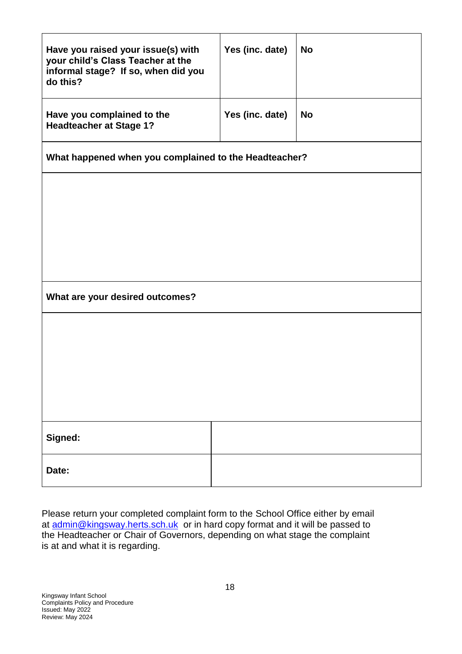| Have you raised your issue(s) with<br>your child's Class Teacher at the<br>informal stage? If so, when did you<br>do this? | Yes (inc. date) | <b>No</b> |  |  |  |
|----------------------------------------------------------------------------------------------------------------------------|-----------------|-----------|--|--|--|
| Have you complained to the<br><b>Headteacher at Stage 1?</b>                                                               | Yes (inc. date) | <b>No</b> |  |  |  |
| What happened when you complained to the Headteacher?                                                                      |                 |           |  |  |  |
|                                                                                                                            |                 |           |  |  |  |
|                                                                                                                            |                 |           |  |  |  |
|                                                                                                                            |                 |           |  |  |  |
| What are your desired outcomes?                                                                                            |                 |           |  |  |  |
|                                                                                                                            |                 |           |  |  |  |
|                                                                                                                            |                 |           |  |  |  |
|                                                                                                                            |                 |           |  |  |  |
|                                                                                                                            |                 |           |  |  |  |
| Signed:<br>Date:                                                                                                           |                 |           |  |  |  |
|                                                                                                                            |                 |           |  |  |  |

Please return your completed complaint form to the School Office either by email at [admin@kingsway.herts.sch.uk](mailto:admin@kingsway.herts.sch.uk) or in hard copy format and it will be passed to the Headteacher or Chair of Governors, depending on what stage the complaint is at and what it is regarding.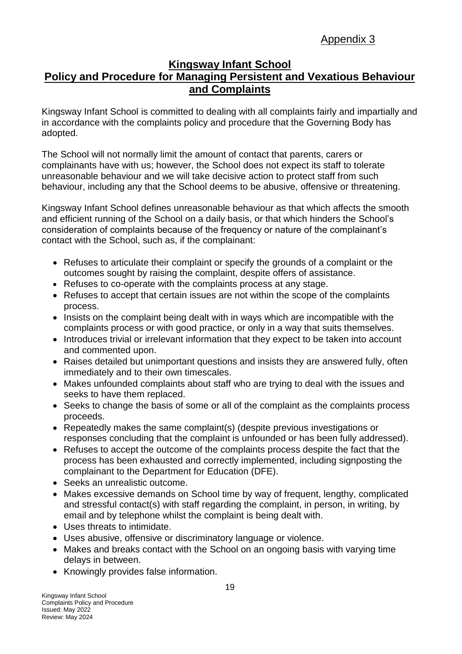# Appendix 3

#### **Kingsway Infant School Policy and Procedure for Managing Persistent and Vexatious Behaviour and Complaints**

Kingsway Infant School is committed to dealing with all complaints fairly and impartially and in accordance with the complaints policy and procedure that the Governing Body has adopted.

The School will not normally limit the amount of contact that parents, carers or complainants have with us; however, the School does not expect its staff to tolerate unreasonable behaviour and we will take decisive action to protect staff from such behaviour, including any that the School deems to be abusive, offensive or threatening.

Kingsway Infant School defines unreasonable behaviour as that which affects the smooth and efficient running of the School on a daily basis, or that which hinders the School's consideration of complaints because of the frequency or nature of the complainant's contact with the School, such as, if the complainant:

- Refuses to articulate their complaint or specify the grounds of a complaint or the outcomes sought by raising the complaint, despite offers of assistance.
- Refuses to co-operate with the complaints process at any stage.
- Refuses to accept that certain issues are not within the scope of the complaints process.
- Insists on the complaint being dealt with in ways which are incompatible with the complaints process or with good practice, or only in a way that suits themselves.
- Introduces trivial or irrelevant information that they expect to be taken into account and commented upon.
- Raises detailed but unimportant questions and insists they are answered fully, often immediately and to their own timescales.
- Makes unfounded complaints about staff who are trying to deal with the issues and seeks to have them replaced.
- Seeks to change the basis of some or all of the complaint as the complaints process proceeds.
- Repeatedly makes the same complaint(s) (despite previous investigations or responses concluding that the complaint is unfounded or has been fully addressed).
- Refuses to accept the outcome of the complaints process despite the fact that the process has been exhausted and correctly implemented, including signposting the complainant to the Department for Education (DFE).
- Seeks an unrealistic outcome.
- Makes excessive demands on School time by way of frequent, lengthy, complicated and stressful contact(s) with staff regarding the complaint, in person, in writing, by email and by telephone whilst the complaint is being dealt with.
- Uses threats to intimidate.
- Uses abusive, offensive or discriminatory language or violence.
- Makes and breaks contact with the School on an ongoing basis with varying time delays in between.
- Knowingly provides false information.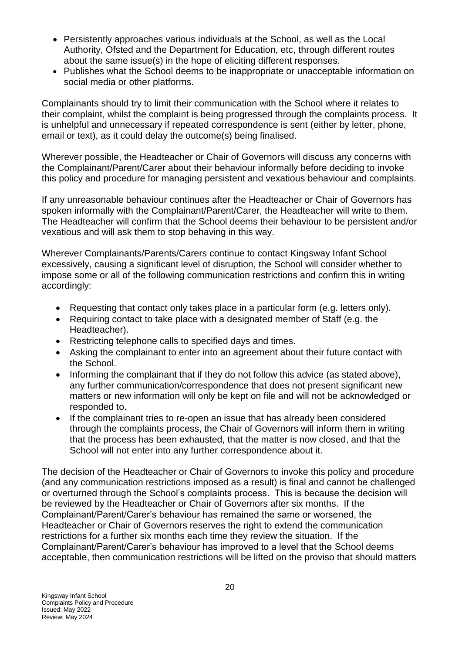- Persistently approaches various individuals at the School, as well as the Local Authority, Ofsted and the Department for Education, etc, through different routes about the same issue(s) in the hope of eliciting different responses.
- Publishes what the School deems to be inappropriate or unacceptable information on social media or other platforms.

Complainants should try to limit their communication with the School where it relates to their complaint, whilst the complaint is being progressed through the complaints process. It is unhelpful and unnecessary if repeated correspondence is sent (either by letter, phone, email or text), as it could delay the outcome(s) being finalised.

Wherever possible, the Headteacher or Chair of Governors will discuss any concerns with the Complainant/Parent/Carer about their behaviour informally before deciding to invoke this policy and procedure for managing persistent and vexatious behaviour and complaints.

If any unreasonable behaviour continues after the Headteacher or Chair of Governors has spoken informally with the Complainant/Parent/Carer, the Headteacher will write to them. The Headteacher will confirm that the School deems their behaviour to be persistent and/or vexatious and will ask them to stop behaving in this way.

Wherever Complainants/Parents/Carers continue to contact Kingsway Infant School excessively, causing a significant level of disruption, the School will consider whether to impose some or all of the following communication restrictions and confirm this in writing accordingly:

- Requesting that contact only takes place in a particular form (e.g. letters only).
- Requiring contact to take place with a designated member of Staff (e.g. the Headteacher).
- Restricting telephone calls to specified days and times.
- Asking the complainant to enter into an agreement about their future contact with the School.
- Informing the complainant that if they do not follow this advice (as stated above), any further communication/correspondence that does not present significant new matters or new information will only be kept on file and will not be acknowledged or responded to.
- If the complainant tries to re-open an issue that has already been considered through the complaints process, the Chair of Governors will inform them in writing that the process has been exhausted, that the matter is now closed, and that the School will not enter into any further correspondence about it.

The decision of the Headteacher or Chair of Governors to invoke this policy and procedure (and any communication restrictions imposed as a result) is final and cannot be challenged or overturned through the School's complaints process. This is because the decision will be reviewed by the Headteacher or Chair of Governors after six months. If the Complainant/Parent/Carer's behaviour has remained the same or worsened, the Headteacher or Chair of Governors reserves the right to extend the communication restrictions for a further six months each time they review the situation. If the Complainant/Parent/Carer's behaviour has improved to a level that the School deems acceptable, then communication restrictions will be lifted on the proviso that should matters